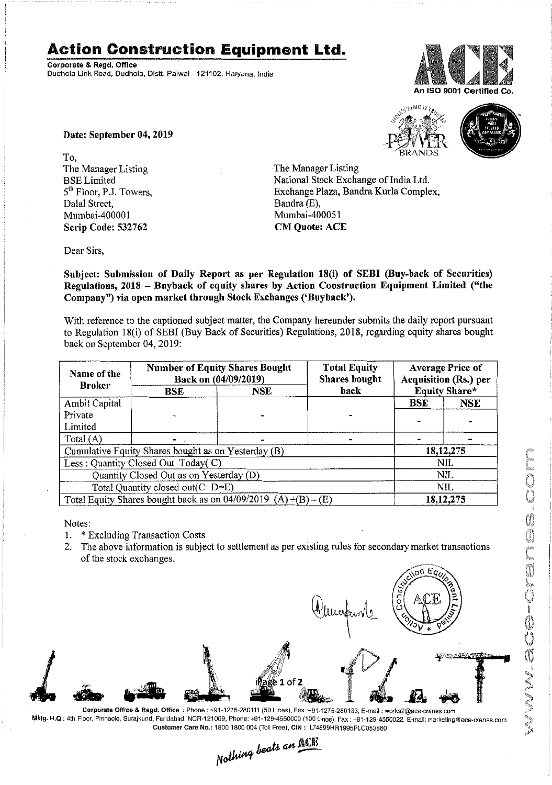## **Action Construction Equipment Ltd.**

Corporate & Regd. Office Dudhola Link Road, Dudhola. Distt. Palwal- 121102, Haryana, India



Date: September 04, 2019

To, The Manager Listing BSE Limited 5<sup>th</sup> Floor, P.J. Towers, Dalal Street, Mumbai-400001 Scrip Code: 532762

 $5510$  MOS<sub>7</sub>



The Manager Listing National Stock Exchange of India Ltd. Exchange Plaza, Bandra Kurla Complex, Bandra(E), Mumbai-400051 CM Quote: ACE

Dear Sirs,

Subject: Submission of Daily Report as per Regulation 18(i) of SEBI (Buy-back of Securities) Regulations, 2018 - Buyback of equity shares by Action Construction Equipment Limited ("the Company") via open market through Stock Exchanges ('Buyback').

With reference to the captioned subject matter, the Company hereunder submits the daily report pursuant to Regulation IS(i) of SEBI (Buy Back of Securities) Regulations, 20lS, regarding equity shares bought back 00 September 04,2019:

| Name of the<br><b>Broker</b>                                      | <b>Number of Equity Shares Bought</b><br>Back on (04/09/2019) |     | <b>Total Equity</b><br><b>Shares</b> bought | <b>Average Price of</b><br><b>Acquisition (Rs.) per</b> |             |  |
|-------------------------------------------------------------------|---------------------------------------------------------------|-----|---------------------------------------------|---------------------------------------------------------|-------------|--|
|                                                                   | <b>BSE</b>                                                    | NSE | back                                        | <b>Equity Share*</b>                                    |             |  |
| Ambit Capital                                                     |                                                               |     |                                             | BSE                                                     | <b>NSE</b>  |  |
| Private                                                           |                                                               |     |                                             |                                                         |             |  |
| Limited                                                           |                                                               |     |                                             |                                                         |             |  |
| Total $(A)$                                                       |                                                               |     |                                             |                                                         |             |  |
| Cumulative Equity Shares bought as on Yesterday (B)               |                                                               |     |                                             |                                                         | 18, 12, 275 |  |
| Less : Quantity Closed Out Today(C)                               |                                                               |     |                                             | <b>NIL</b>                                              |             |  |
| Quantity Closed Out as on Yesterday (D)                           |                                                               |     |                                             | <b>NIL</b>                                              |             |  |
| Total Quantity closed out(C+D=E)                                  |                                                               |     |                                             | <b>NIL</b>                                              |             |  |
| Total Equity Shares bought back as on $04/09/2019$ (A) +(B) – (E) |                                                               |     |                                             | 18, 12, 275                                             |             |  |

Notes:

- I. \* Excluding Transaction Costs
- 2. The above information is subject to settlement as per existing rules for secondary market transactions of the stock exchanges.

ion Eg **INATAKAFAAT** 1. 1 იf Corporate Office & Regd. Office: Phone: +91-1275-280111(50 Lines), Fax:+91-1275-280133, E·mail: works2@ace·cranes.com

Mktg. H.Q.: 4th Floor, Pinnacle, Surajkund, Faridabad, NCR-121009, Phone: +91-129-4550000 (100 Lines), Fax: +91-129-4550022, E-mail: marketing@ace-cranes.com

Customer Care No.: 1800 1800 004 (Toll Free). CIN: L74899HR1995PLC053860<br>Nothing beats an **ACU**